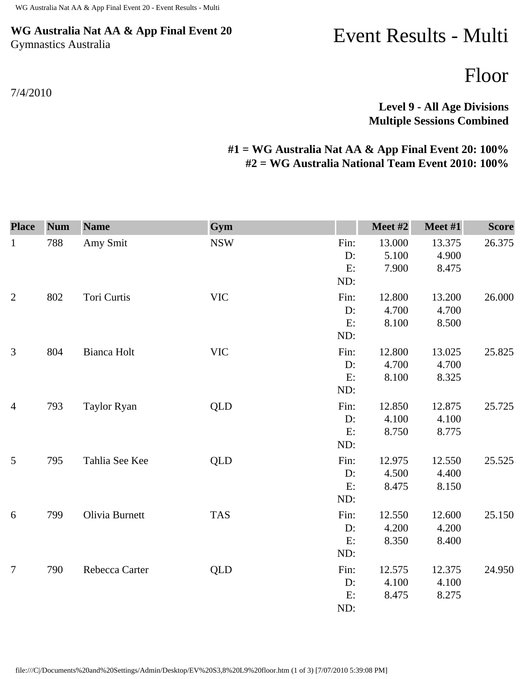## **WG Australia Nat AA & App Final Event 20** Gymnastics Australia

7/4/2010

## Event Results - Multi

Floor

## **Level 9 - All Age Divisions Multiple Sessions Combined**

## **#1 = WG Australia Nat AA & App Final Event 20: 100% #2 = WG Australia National Team Event 2010: 100%**

| <b>Place</b>   | <b>Num</b> | <b>Name</b>    | Gym        |                         | Meet #2                  | Meet #1                  | <b>Score</b> |
|----------------|------------|----------------|------------|-------------------------|--------------------------|--------------------------|--------------|
| $\mathbf{1}$   | 788        | Amy Smit       | <b>NSW</b> | Fin:<br>D:<br>E:<br>ND: | 13.000<br>5.100<br>7.900 | 13.375<br>4.900<br>8.475 | 26.375       |
| $\overline{2}$ | 802        | Tori Curtis    | <b>VIC</b> | Fin:<br>D:<br>E:<br>ND: | 12.800<br>4.700<br>8.100 | 13.200<br>4.700<br>8.500 | 26.000       |
| 3              | 804        | Bianca Holt    | <b>VIC</b> | Fin:<br>D:<br>E:<br>ND: | 12.800<br>4.700<br>8.100 | 13.025<br>4.700<br>8.325 | 25.825       |
| $\overline{4}$ | 793        | Taylor Ryan    | <b>QLD</b> | Fin:<br>D:<br>E:<br>ND: | 12.850<br>4.100<br>8.750 | 12.875<br>4.100<br>8.775 | 25.725       |
| 5              | 795        | Tahlia See Kee | <b>QLD</b> | Fin:<br>D:<br>E:<br>ND: | 12.975<br>4.500<br>8.475 | 12.550<br>4.400<br>8.150 | 25.525       |
| 6              | 799        | Olivia Burnett | <b>TAS</b> | Fin:<br>D:<br>E:<br>ND: | 12.550<br>4.200<br>8.350 | 12.600<br>4.200<br>8.400 | 25.150       |
| $\overline{7}$ | 790        | Rebecca Carter | <b>QLD</b> | Fin:<br>D:<br>E:<br>ND: | 12.575<br>4.100<br>8.475 | 12.375<br>4.100<br>8.275 | 24.950       |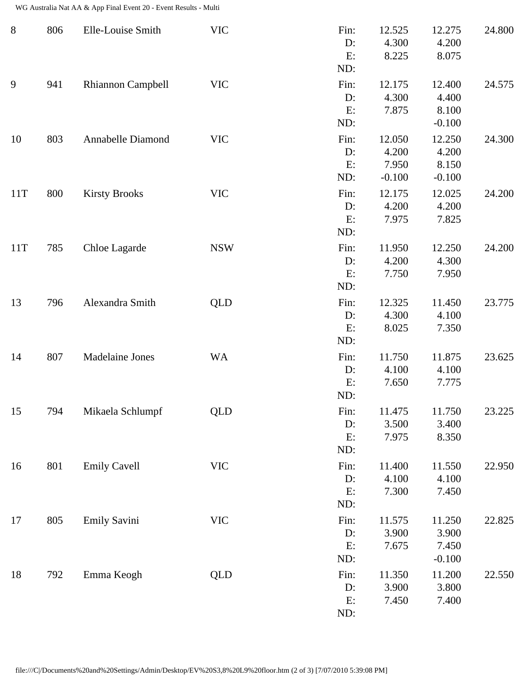WG Australia Nat AA & App Final Event 20 - Event Results - Multi

| $8\phantom{1}$ | 806 | Elle-Louise Smith        | <b>VIC</b> | Fin:<br>D:<br>E:<br>ND:    | 12.525<br>4.300<br>8.225             | 12.275<br>4.200<br>8.075             | 24.800 |
|----------------|-----|--------------------------|------------|----------------------------|--------------------------------------|--------------------------------------|--------|
| 9              | 941 | <b>Rhiannon Campbell</b> | <b>VIC</b> | Fin:<br>$D$ :<br>E:<br>ND: | 12.175<br>4.300<br>7.875             | 12.400<br>4.400<br>8.100<br>$-0.100$ | 24.575 |
| 10             | 803 | Annabelle Diamond        | <b>VIC</b> | Fin:<br>D:<br>E:<br>ND:    | 12.050<br>4.200<br>7.950<br>$-0.100$ | 12.250<br>4.200<br>8.150<br>$-0.100$ | 24.300 |
| 11T            | 800 | <b>Kirsty Brooks</b>     | <b>VIC</b> | Fin:<br>D:<br>E:<br>ND:    | 12.175<br>4.200<br>7.975             | 12.025<br>4.200<br>7.825             | 24.200 |
| 11T            | 785 | Chloe Lagarde            | <b>NSW</b> | Fin:<br>D:<br>E:<br>ND:    | 11.950<br>4.200<br>7.750             | 12.250<br>4.300<br>7.950             | 24.200 |
| 13             | 796 | Alexandra Smith          | <b>QLD</b> | Fin:<br>D:<br>E:<br>ND:    | 12.325<br>4.300<br>8.025             | 11.450<br>4.100<br>7.350             | 23.775 |
| 14             | 807 | Madelaine Jones          | <b>WA</b>  | Fin:<br>D:<br>E:<br>ND:    | 11.750<br>4.100<br>7.650             | 11.875<br>4.100<br>7.775             | 23.625 |
| 15             | 794 | Mikaela Schlumpf         | <b>QLD</b> | Fin:<br>D:<br>E:<br>ND:    | 11.475<br>3.500<br>7.975             | 11.750<br>3.400<br>8.350             | 23.225 |
| 16             | 801 | <b>Emily Cavell</b>      | <b>VIC</b> | Fin:<br>D:<br>E:<br>ND:    | 11.400<br>4.100<br>7.300             | 11.550<br>4.100<br>7.450             | 22.950 |
| 17             | 805 | <b>Emily Savini</b>      | <b>VIC</b> | Fin:<br>D:<br>E:<br>ND:    | 11.575<br>3.900<br>7.675             | 11.250<br>3.900<br>7.450<br>$-0.100$ | 22.825 |
| 18             | 792 | Emma Keogh               | <b>QLD</b> | Fin:<br>$D$ :<br>E:<br>ND: | 11.350<br>3.900<br>7.450             | 11.200<br>3.800<br>7.400             | 22.550 |